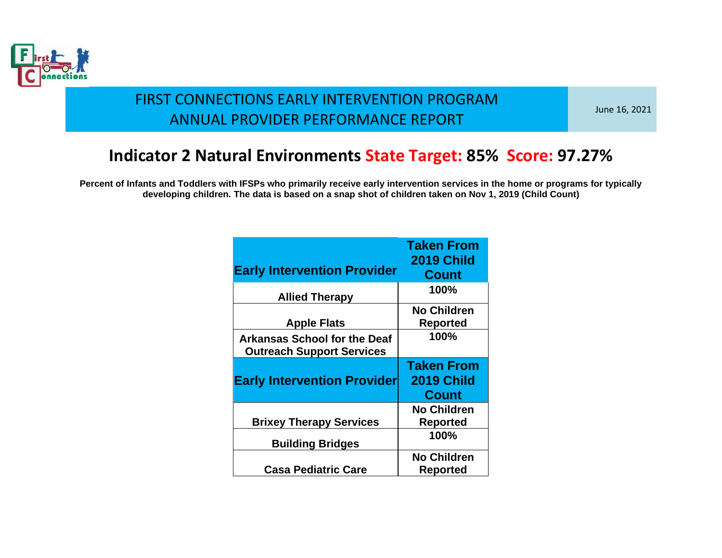

June 16, 2021

#### **Indicator 2 Natural Environments State Target: 85% Score: 97.27%**

|                                     | <b>Taken From</b>  |
|-------------------------------------|--------------------|
|                                     | <b>2019 Child</b>  |
| <b>Early Intervention Provider</b>  | <b>Count</b>       |
| <b>Allied Therapy</b>               | 100%               |
|                                     | <b>No Children</b> |
| <b>Apple Flats</b>                  | <b>Reported</b>    |
| <b>Arkansas School for the Deaf</b> | 100%               |
| <b>Outreach Support Services</b>    |                    |
|                                     |                    |
|                                     | <b>Taken From</b>  |
| <b>Early Intervention Provider</b>  | <b>2019 Child</b>  |
|                                     | <b>Count</b>       |
|                                     | <b>No Children</b> |
| <b>Brixey Therapy Services</b>      | <b>Reported</b>    |
| <b>Building Bridges</b>             | 100%               |
|                                     | <b>No Children</b> |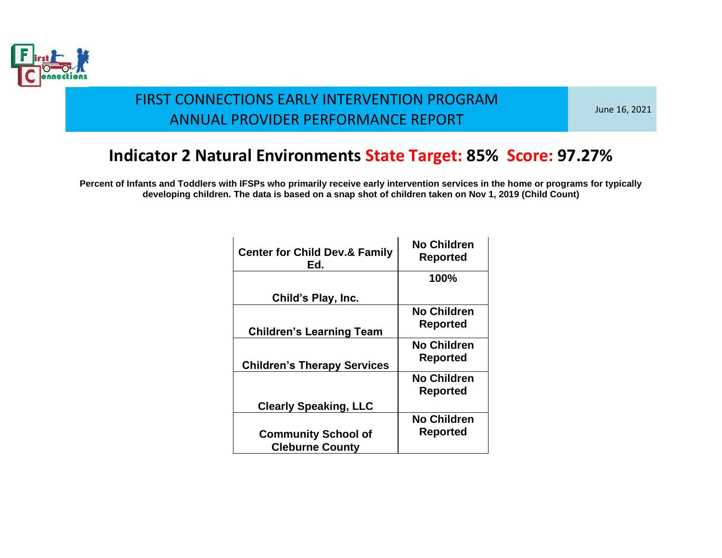

June 16, 2021

### **Indicator 2 Natural Environments State Target: 85% Score: 97.27%**

| <b>Center for Child Dev.&amp; Family</b><br>Ed.      | <b>No Children</b><br><b>Reported</b> |
|------------------------------------------------------|---------------------------------------|
|                                                      | 100%                                  |
| Child's Play, Inc.                                   |                                       |
| <b>Children's Learning Team</b>                      | <b>No Children</b><br><b>Reported</b> |
| <b>Children's Therapy Services</b>                   | <b>No Children</b><br><b>Reported</b> |
|                                                      | <b>No Children</b><br><b>Reported</b> |
| <b>Clearly Speaking, LLC</b>                         |                                       |
| <b>Community School of</b><br><b>Cleburne County</b> | <b>No Children</b><br><b>Reported</b> |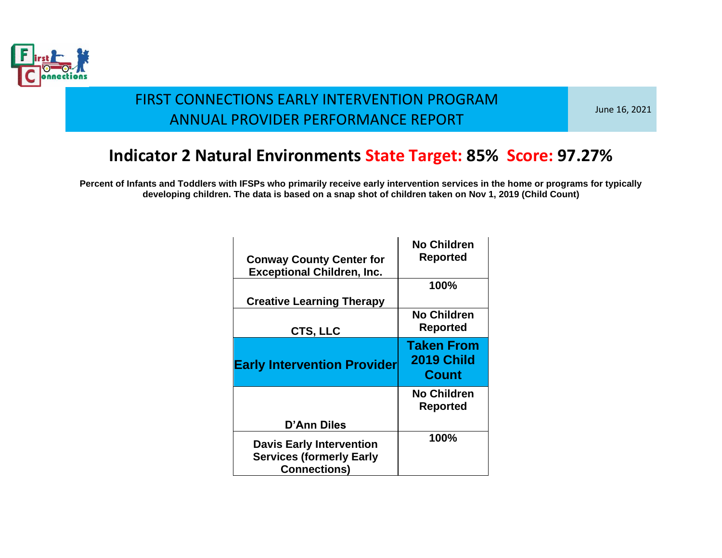

June 16, 2021

# **Indicator 2 Natural Environments State Target: 85% Score: 97.27%**

| <b>Conway County Center for</b><br><b>Exceptional Children, Inc.</b>                      | <b>No Children</b><br>Reported                         |
|-------------------------------------------------------------------------------------------|--------------------------------------------------------|
| <b>Creative Learning Therapy</b>                                                          | 100%                                                   |
| CTS, LLC                                                                                  | <b>No Children</b><br><b>Reported</b>                  |
| <b>Early Intervention Provider</b>                                                        | <b>Taken From</b><br><b>2019 Child</b><br><b>Count</b> |
|                                                                                           | <b>No Children</b><br>Reported                         |
| D'Ann Diles                                                                               |                                                        |
| <b>Davis Early Intervention</b><br><b>Services (formerly Early</b><br><b>Connections)</b> | 100%                                                   |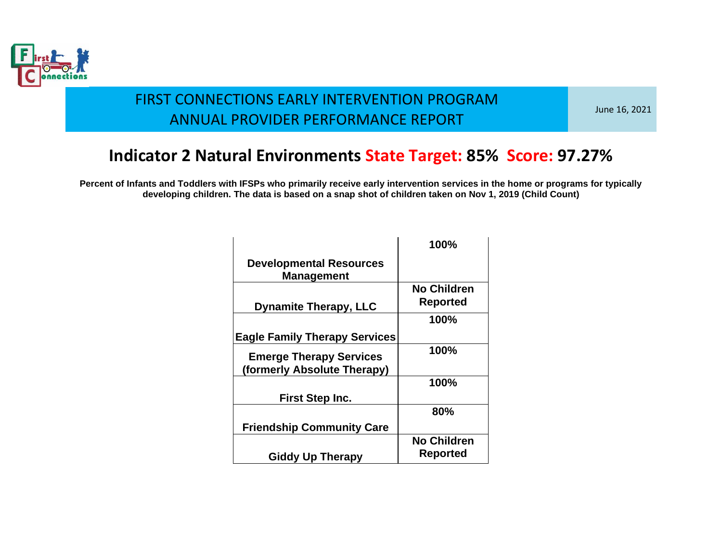

June 16, 2021

### **Indicator 2 Natural Environments State Target: 85% Score: 97.27%**

|                                                               | 100%                                  |
|---------------------------------------------------------------|---------------------------------------|
| <b>Developmental Resources</b><br><b>Management</b>           |                                       |
| <b>Dynamite Therapy, LLC</b>                                  | <b>No Children</b><br><b>Reported</b> |
|                                                               | 100%                                  |
| <b>Eagle Family Therapy Services</b>                          |                                       |
| <b>Emerge Therapy Services</b><br>(formerly Absolute Therapy) | 100%                                  |
|                                                               | 100%                                  |
| First Step Inc.                                               |                                       |
|                                                               | 80%                                   |
| <b>Friendship Community Care</b>                              |                                       |
| <b>Giddy Up Therapy</b>                                       | <b>No Children</b><br>Reported        |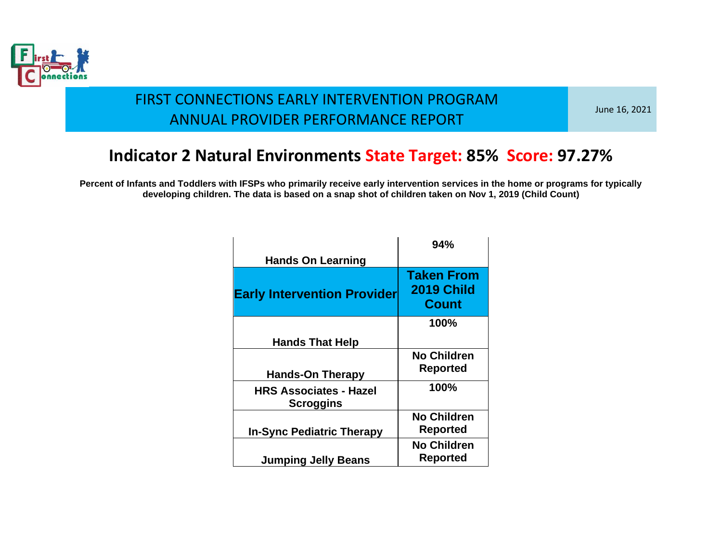

June 16, 2021

### **Indicator 2 Natural Environments State Target: 85% Score: 97.27%**

|                                                   | 94%                                                    |
|---------------------------------------------------|--------------------------------------------------------|
| <b>Hands On Learning</b>                          |                                                        |
| <b>Early Intervention Provider</b>                | <b>Taken From</b><br><b>2019 Child</b><br><b>Count</b> |
|                                                   | 100%                                                   |
| <b>Hands That Help</b>                            |                                                        |
| <b>Hands-On Therapy</b>                           | <b>No Children</b><br>Reported                         |
| <b>HRS Associates - Hazel</b><br><b>Scroggins</b> | 100%                                                   |
| <b>In-Sync Pediatric Therapy</b>                  | <b>No Children</b><br>Reported                         |
| <b>Jumping Jelly Beans</b>                        | <b>No Children</b><br>Reported                         |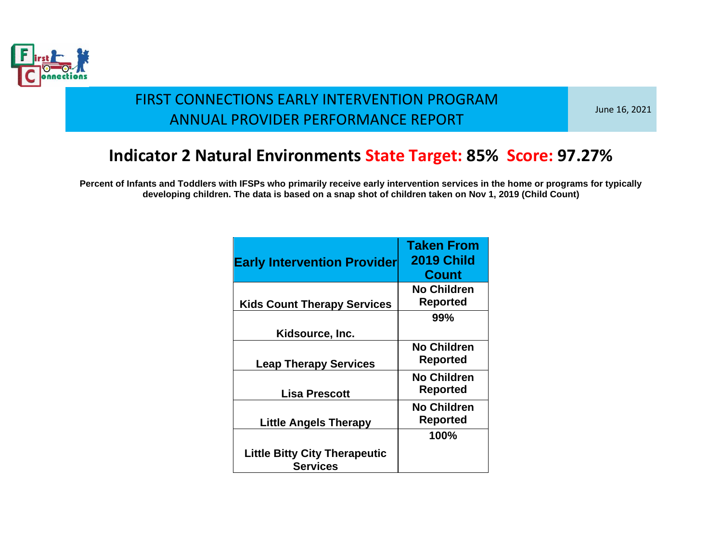

June 16, 2021

### **Indicator 2 Natural Environments State Target: 85% Score: 97.27%**

| <b>Early Intervention Provider</b>                      | <b>Taken From</b><br><b>2019 Child</b><br><b>Count</b> |
|---------------------------------------------------------|--------------------------------------------------------|
| <b>Kids Count Therapy Services</b>                      | <b>No Children</b><br>Reported                         |
| Kidsource, Inc.                                         | 99%                                                    |
| <b>Leap Therapy Services</b>                            | <b>No Children</b><br>Reported                         |
| <b>Lisa Prescott</b>                                    | <b>No Children</b><br>Reported                         |
| <b>Little Angels Therapy</b>                            | <b>No Children</b><br>Reported                         |
| <b>Little Bitty City Therapeutic</b><br><b>Services</b> | 100%                                                   |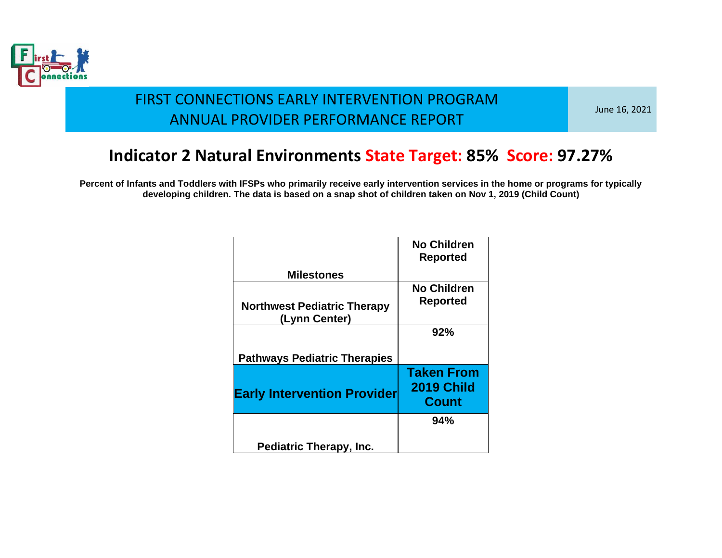

June 16, 2021

# **Indicator 2 Natural Environments State Target: 85% Score: 97.27%**

|                                                     | <b>No Children</b><br><b>Reported</b>                  |
|-----------------------------------------------------|--------------------------------------------------------|
| <b>Milestones</b>                                   |                                                        |
|                                                     | <b>No Children</b>                                     |
| <b>Northwest Pediatric Therapy</b><br>(Lynn Center) | <b>Reported</b>                                        |
|                                                     | 92%                                                    |
| <b>Pathways Pediatric Therapies</b>                 |                                                        |
| <b>Early Intervention Provider</b>                  | <b>Taken From</b><br><b>2019 Child</b><br><b>Count</b> |
|                                                     | 94%                                                    |
| <b>Pediatric Therapy, Inc.</b>                      |                                                        |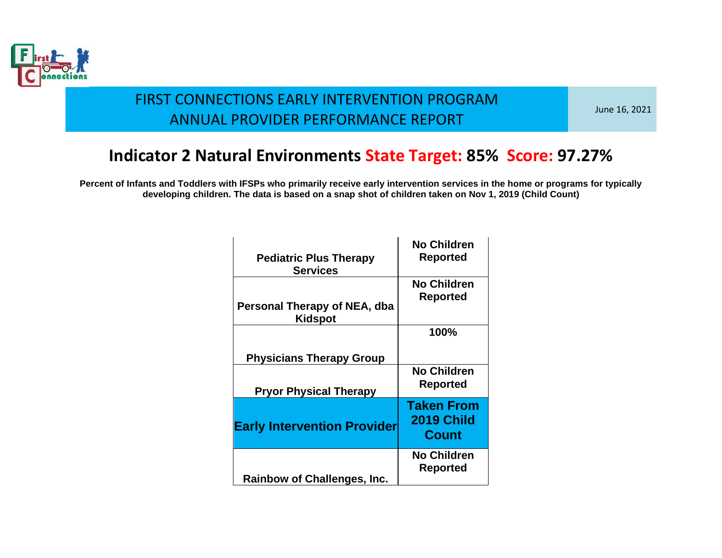

June 16, 2021

### **Indicator 2 Natural Environments State Target: 85% Score: 97.27%**

| <b>Pediatric Plus Therapy</b><br><b>Services</b> | <b>No Children</b><br><b>Reported</b>                  |
|--------------------------------------------------|--------------------------------------------------------|
| Personal Therapy of NEA, dba<br>Kidspot          | <b>No Children</b><br><b>Reported</b>                  |
|                                                  | 100%                                                   |
| <b>Physicians Therapy Group</b>                  |                                                        |
| <b>Pryor Physical Therapy</b>                    | <b>No Children</b><br><b>Reported</b>                  |
| <b>Early Intervention Provider</b>               | <b>Taken From</b><br><b>2019 Child</b><br><b>Count</b> |
| <b>Rainbow of Challenges, Inc.</b>               | <b>No Children</b><br><b>Reported</b>                  |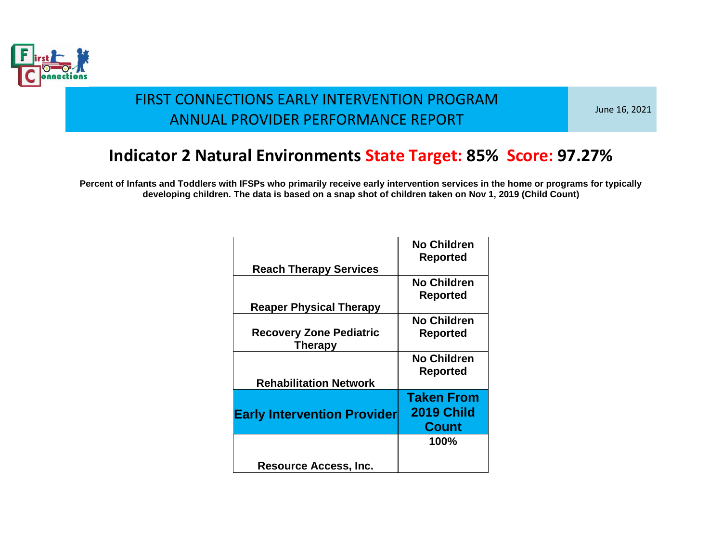

June 16, 2021

# **Indicator 2 Natural Environments State Target: 85% Score: 97.27%**

| <b>Reach Therapy Services</b>                    | <b>No Children</b><br><b>Reported</b>                  |
|--------------------------------------------------|--------------------------------------------------------|
|                                                  | <b>No Children</b>                                     |
| <b>Reaper Physical Therapy</b>                   | Reported                                               |
|                                                  | <b>No Children</b>                                     |
| <b>Recovery Zone Pediatric</b><br><b>Therapy</b> | Reported                                               |
|                                                  | <b>No Children</b><br>Reported                         |
| <b>Rehabilitation Network</b>                    |                                                        |
| <b>Early Intervention Provider</b>               | <b>Taken From</b><br><b>2019 Child</b><br><b>Count</b> |
|                                                  | 100%                                                   |
| <b>Resource Access, Inc.</b>                     |                                                        |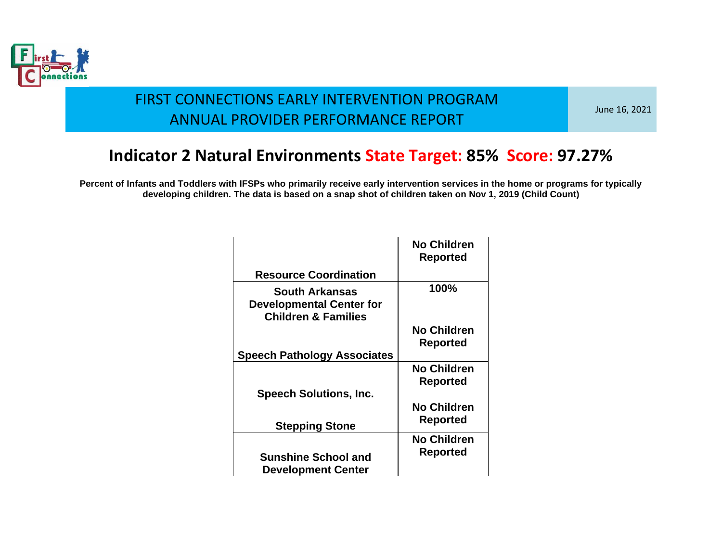

June 16, 2021

### **Indicator 2 Natural Environments State Target: 85% Score: 97.27%**

|                                                                                     | <b>No Children</b> |
|-------------------------------------------------------------------------------------|--------------------|
|                                                                                     | <b>Reported</b>    |
| <b>Resource Coordination</b>                                                        |                    |
| South Arkansas<br><b>Developmental Center for</b><br><b>Children &amp; Families</b> | 100%               |
|                                                                                     | No Children        |
|                                                                                     | Reported           |
| <b>Speech Pathology Associates</b>                                                  |                    |
|                                                                                     | <b>No Children</b> |
|                                                                                     | <b>Reported</b>    |
| <b>Speech Solutions, Inc.</b>                                                       |                    |
|                                                                                     | <b>No Children</b> |
| <b>Stepping Stone</b>                                                               | <b>Reported</b>    |
|                                                                                     | <b>No Children</b> |
| <b>Sunshine School and</b>                                                          | Reported           |
| <b>Development Center</b>                                                           |                    |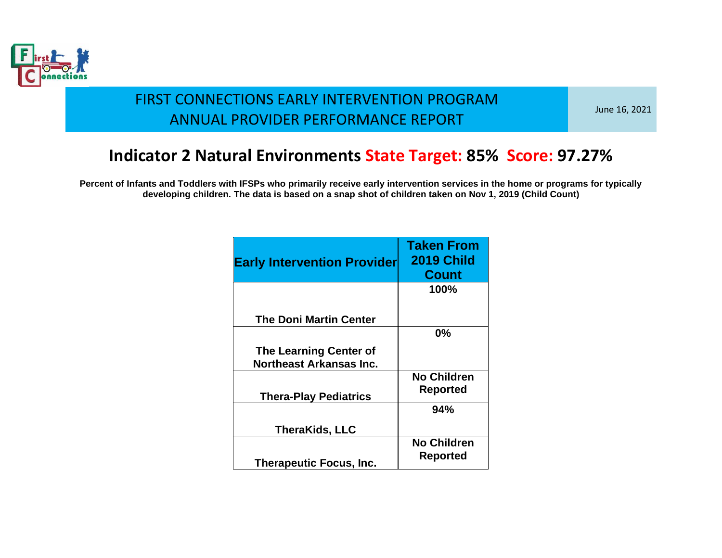

June 16, 2021

### **Indicator 2 Natural Environments State Target: 85% Score: 97.27%**

| <b>Early Intervention Provider</b>                       | <b>Taken From</b><br><b>2019 Child</b><br><b>Count</b> |
|----------------------------------------------------------|--------------------------------------------------------|
|                                                          | 100%                                                   |
| <b>The Doni Martin Center</b>                            |                                                        |
|                                                          | 0%                                                     |
| <b>The Learning Center of</b><br>Northeast Arkansas Inc. |                                                        |
|                                                          | <b>No Children</b>                                     |
| <b>Thera-Play Pediatrics</b>                             | <b>Reported</b>                                        |
|                                                          | 94%                                                    |
| <b>TheraKids, LLC</b>                                    |                                                        |
| <b>Therapeutic Focus, Inc.</b>                           | <b>No Children</b><br>Reported                         |